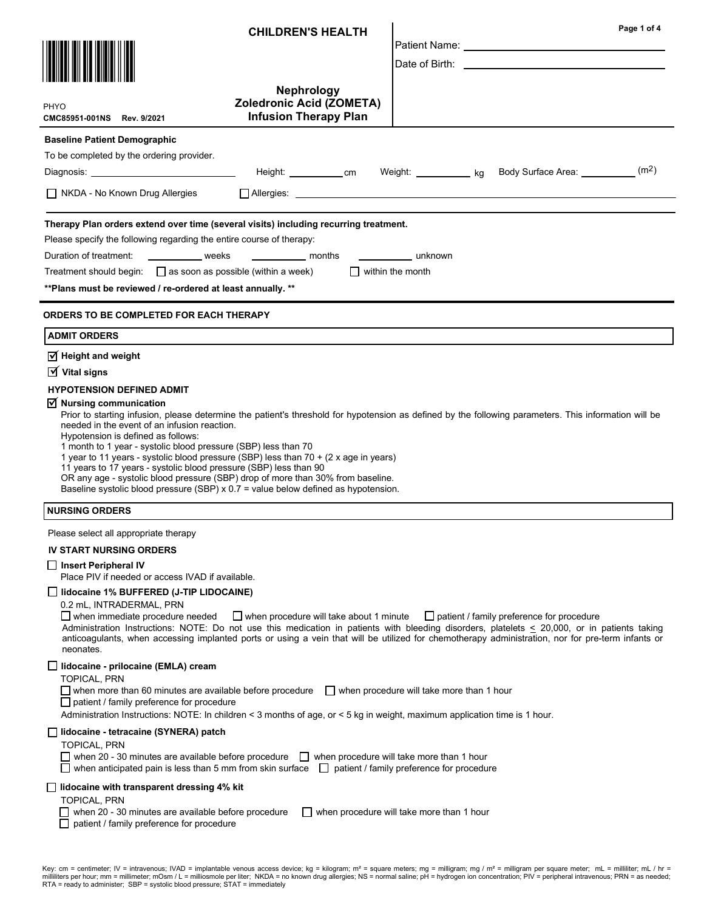| PHYO<br>CMC85951-001NS Rev. 9/2021                                                                                                                                                                                                                                                                                                                                                                                                                                                                                                                                                                                                                                       | <b>CHILDREN'S HEALTH</b><br><b>Nephrology</b><br>Zoledronic Acid (ZOMETA)<br><b>Infusion Therapy Plan</b>            |                                                                                               | Page 1 of 4                                                                                                                                                                                                                                                                                                                                      |  |  |  |
|--------------------------------------------------------------------------------------------------------------------------------------------------------------------------------------------------------------------------------------------------------------------------------------------------------------------------------------------------------------------------------------------------------------------------------------------------------------------------------------------------------------------------------------------------------------------------------------------------------------------------------------------------------------------------|----------------------------------------------------------------------------------------------------------------------|-----------------------------------------------------------------------------------------------|--------------------------------------------------------------------------------------------------------------------------------------------------------------------------------------------------------------------------------------------------------------------------------------------------------------------------------------------------|--|--|--|
| <b>Baseline Patient Demographic</b><br>To be completed by the ordering provider.<br>Diagnosis: _________________________________<br>NKDA - No Known Drug Allergies                                                                                                                                                                                                                                                                                                                                                                                                                                                                                                       | $\Box$ Allergies: $\Box$                                                                                             |                                                                                               | Height: ____________cm Weight: _____________ kg Body Surface Area: ___________(m <sup>2</sup> )                                                                                                                                                                                                                                                  |  |  |  |
| Therapy Plan orders extend over time (several visits) including recurring treatment.<br>Please specify the following regarding the entire course of therapy:<br>Duration of treatment: _____________ weeks _____________ months<br>unknown<br>Treatment should begin: $\Box$ as soon as possible (within a week)<br>$\Box$ within the month<br>** Plans must be reviewed / re-ordered at least annually. **                                                                                                                                                                                                                                                              |                                                                                                                      |                                                                                               |                                                                                                                                                                                                                                                                                                                                                  |  |  |  |
| <b>ORDERS TO BE COMPLETED FOR EACH THERAPY</b>                                                                                                                                                                                                                                                                                                                                                                                                                                                                                                                                                                                                                           |                                                                                                                      |                                                                                               |                                                                                                                                                                                                                                                                                                                                                  |  |  |  |
| <b>ADMIT ORDERS</b>                                                                                                                                                                                                                                                                                                                                                                                                                                                                                                                                                                                                                                                      |                                                                                                                      |                                                                                               |                                                                                                                                                                                                                                                                                                                                                  |  |  |  |
| $\sqrt{ }$ Height and weight<br>$\overline{M}$ Vital signs<br><b>HYPOTENSION DEFINED ADMIT</b><br>$\vee$ Nursing communication<br>needed in the event of an infusion reaction.<br>Hypotension is defined as follows:<br>1 month to 1 year - systolic blood pressure (SBP) less than 70<br>1 year to 11 years - systolic blood pressure (SBP) less than 70 + (2 x age in years)<br>11 years to 17 years - systolic blood pressure (SBP) less than 90<br>OR any age - systolic blood pressure (SBP) drop of more than 30% from baseline.<br>Baseline systolic blood pressure (SBP) x 0.7 = value below defined as hypotension.                                             |                                                                                                                      |                                                                                               | Prior to starting infusion, please determine the patient's threshold for hypotension as defined by the following parameters. This information will be                                                                                                                                                                                            |  |  |  |
| <b>NURSING ORDERS</b>                                                                                                                                                                                                                                                                                                                                                                                                                                                                                                                                                                                                                                                    |                                                                                                                      |                                                                                               |                                                                                                                                                                                                                                                                                                                                                  |  |  |  |
| Please select all appropriate therapy<br><b>IV START NURSING ORDERS</b><br>□ Insert Peripheral IV<br>Place PIV if needed or access IVAD if available.<br>$\Box$ lidocaine 1% BUFFERED (J-TIP LIDOCAINE)<br>0.2 mL, INTRADERMAL, PRN<br>$\Box$ when immediate procedure needed<br>neonates.                                                                                                                                                                                                                                                                                                                                                                               | $\Box$ when procedure will take about 1 minute                                                                       |                                                                                               | □ patient / family preference for procedure<br>Administration Instructions: NOTE: Do not use this medication in patients with bleeding disorders, platelets < 20,000, or in patients taking<br>anticoagulants, when accessing implanted ports or using a vein that will be utilized for chemotherapy administration, nor for pre-term infants or |  |  |  |
| □ lidocaine - prilocaine (EMLA) cream<br><b>TOPICAL, PRN</b><br>$\Box$ when more than 60 minutes are available before procedure<br>$\Box$ patient / family preference for procedure<br>Administration Instructions: NOTE: In children < 3 months of age, or < 5 kg in weight, maximum application time is 1 hour.<br>$\Box$ lidocaine - tetracaine (SYNERA) patch<br><b>TOPICAL, PRN</b><br>when anticipated pain is less than 5 mm from skin surface $\Box$ patient / family preference for procedure<br>lidocaine with transparent dressing 4% kit<br>TOPICAL, PRN<br>when 20 - 30 minutes are available before procedure<br>patient / family preference for procedure | when 20 - 30 minutes are available before procedure $\Box$ when procedure will take more than 1 hour<br>$\mathsf{L}$ | $\Box$ when procedure will take more than 1 hour<br>when procedure will take more than 1 hour |                                                                                                                                                                                                                                                                                                                                                  |  |  |  |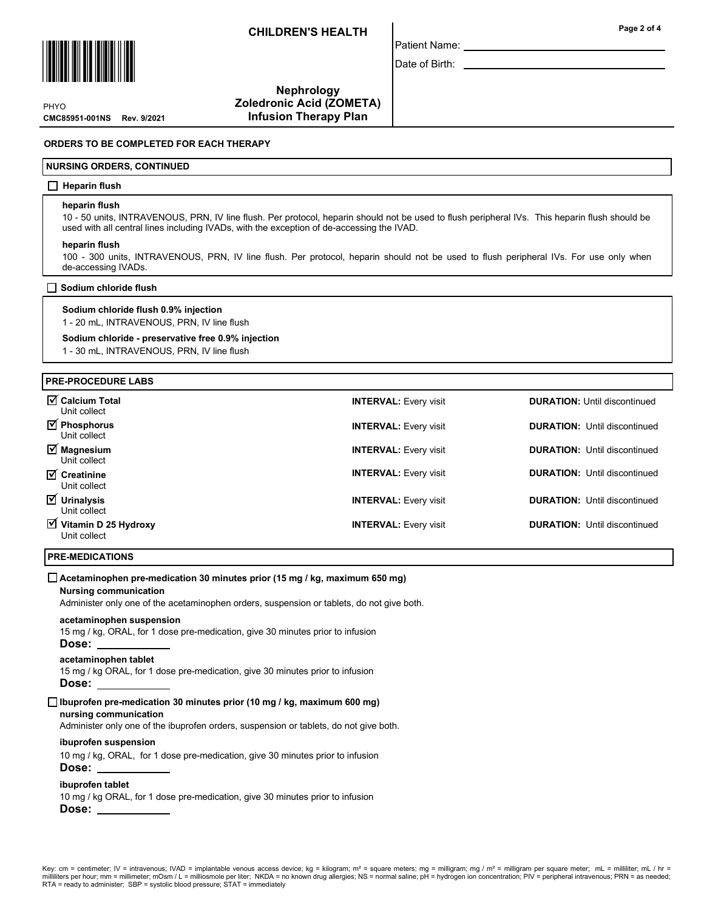

CMC85951-001NS Rev. 9/2021 **PHYO** 

Nephrology Zoledronic Acid (ZOMETA) Infusion Therapy Plan

## ORDERS TO BE COMPLETED FOR EACH THERAPY

#### NURSING ORDERS, CONTINUED

## $\Box$  Heparin flush

#### heparin flush

10 - 50 units, INTRAVENOUS, PRN, IV line flush. Per protocol, heparin should not be used to flush peripheral IVs. This heparin flush should be used with all central lines including IVADs, with the exception of de-accessing the IVAD.

Patient Name: Date of Birth:

#### heparin flush

100 - 300 units, INTRAVENOUS, PRN, IV line flush. Per protocol, heparin should not be used to flush peripheral IVs. For use only when de-accessing IVADs.

#### $\Box$  Sodium chloride flush

## Sodium chloride flush 0.9% injection

1 - 20 mL, INTRAVENOUS, PRN, IV line flush

## Sodium chloride - preservative free 0.9% injection

1 - 30 mL, INTRAVENOUS, PRN, IV line flush

## PRE-PROCEDURE LABS

| <b>Ø</b> Calcium Total<br>Unit collect                       | <b>INTERVAL: Every visit</b> | <b>DURATION:</b> Until discontinued |
|--------------------------------------------------------------|------------------------------|-------------------------------------|
| <b>Ø</b> Phosphorus<br>Unit collect                          | <b>INTERVAL: Every visit</b> | <b>DURATION:</b> Until discontinued |
| $\overline{\mathsf{M}}$ Magnesium<br>Unit collect            | <b>INTERVAL: Every visit</b> | <b>DURATION:</b> Until discontinued |
| $\overline{\mathbf{y}}$ Creatinine<br>Unit collect           | <b>INTERVAL: Every visit</b> | <b>DURATION:</b> Until discontinued |
| $\overline{y}$ Urinalysis<br>Unit collect                    | <b>INTERVAL: Every visit</b> | <b>DURATION:</b> Until discontinued |
| $\overline{\mathbf{y}}$ Vitamin D 25 Hydroxy<br>Unit collect | <b>INTERVAL: Every visit</b> | <b>DURATION:</b> Until discontinued |

## PRE-MEDICATIONS

#### $\Box$  Acetaminophen pre-medication 30 minutes prior (15 mg / kg, maximum 650 mg)

#### Nursing communication

Administer only one of the acetaminophen orders, suspension or tablets, do not give both.

#### acetaminophen suspension

15 mg / kg, ORAL, for 1 dose pre-medication, give 30 minutes prior to infusion

# Dose:

# acetaminophen tablet

15 mg / kg ORAL, for 1 dose pre-medication, give 30 minutes prior to infusion Dose:

## nursing communication  $\Box$  Ibuprofen pre-medication 30 minutes prior (10 mg / kg, maximum 600 mg)

Administer only one of the ibuprofen orders, suspension or tablets, do not give both.

## ibuprofen suspension

10 mg / kg, ORAL, for 1 dose pre-medication, give 30 minutes prior to infusion

Dose:

# ibuprofen tablet

10 mg / kg ORAL, for 1 dose pre-medication, give 30 minutes prior to infusion Dose: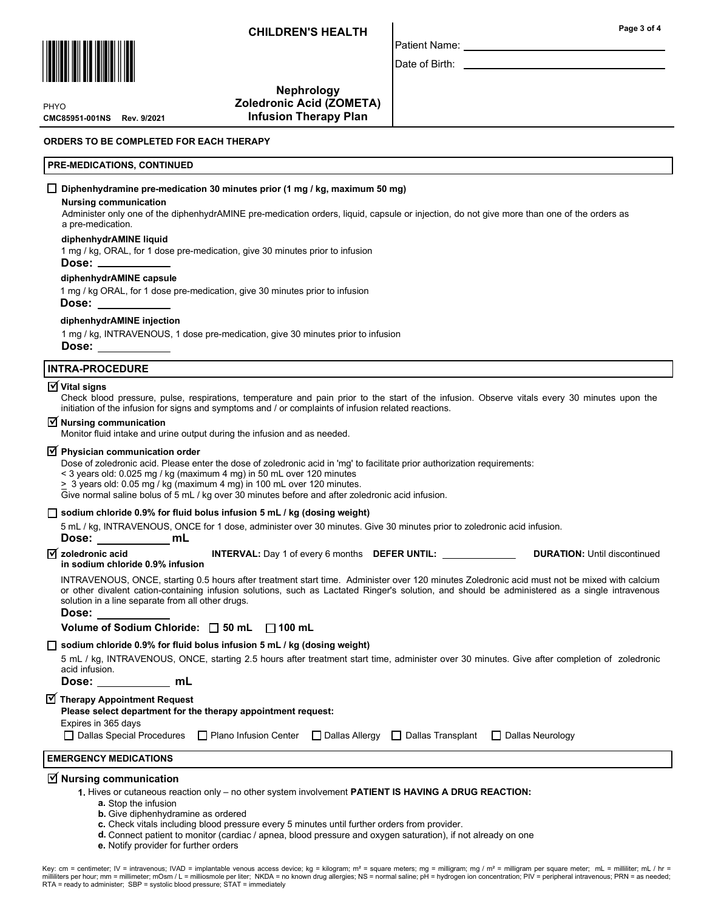Nephrology



CMC85951-001NS Rev. 9/2021 **PHYO** 

Zoledronic Acid (ZOMETA) Infusion Therapy Plan

## ORDERS TO BE COMPLETED FOR EACH THERAPY

## PRE-MEDICATIONS, CONTINUED

## $\Box$  Diphenhydramine pre-medication 30 minutes prior (1 mg / kg, maximum 50 mg)

#### Nursing communication

Administer only one of the diphenhydrAMINE pre-medication orders, liquid, capsule or injection, do not give more than one of the orders as a pre-medication.

Patient Name: Date of Birth:

## diphenhydrAMINE liquid

1 mg / kg, ORAL, for 1 dose pre-medication, give 30 minutes prior to infusion

#### Dose:

## diphenhydrAMINE capsule

1 mg / kg ORAL, for 1 dose pre-medication, give 30 minutes prior to infusion Dose:

## diphenhydrAMINE injection

1 mg / kg, INTRAVENOUS, 1 dose pre-medication, give 30 minutes prior to infusion

Dose:

## INTRA-PROCEDURE

# $\overline{\textsf{y}}$  Vital signs

Check blood pressure, pulse, respirations, temperature and pain prior to the start of the infusion. Observe vitals every 30 minutes upon the initiation of the infusion for signs and symptoms and / or complaints of infusion related reactions.

## $\triangledown$  Nursing communication

Monitor fluid intake and urine output during the infusion and as needed.

# $\overline{\textbf{y}}$  Physician communication order

Dose of zoledronic acid. Please enter the dose of zoledronic acid in 'mg' to facilitate prior authorization requirements:

< 3 years old: 0.025 mg / kg (maximum 4 mg) in 50 mL over 120 minutes

 $\geq 3$  years old: 0.05 mg / kg (maximum 4 mg) in 100 mL over 120 minutes.

Give normal saline bolus of 5 mL / kg over 30 minutes before and after zoledronic acid infusion.

## $\Box$  sodium chloride 0.9% for fluid bolus infusion 5 mL / kg (dosing weight)

5 mL / kg, INTRAVENOUS, ONCE for 1 dose, administer over 30 minutes. Give 30 minutes prior to zoledronic acid infusion.

## Dose: mL

INTERVAL: Day 1 of every 6 months DEFER UNTIL: \_\_\_\_\_\_\_\_\_\_\_\_\_\_\_\_\_\_\_\_\_\_DURATION: Until discontinued in sodium chloride 0.9% infusion  $\sqrt{ }$  zoledronic acid

INTRAVENOUS, ONCE, starting 0.5 hours after treatment start time. Administer over 120 minutes Zoledronic acid must not be mixed with calcium or other divalent cation-containing infusion solutions, such as Lactated Ringer's solution, and should be administered as a single intravenous solution in a line separate from all other drugs.

#### Dose:

Volume of Sodium Chloride:  $\Box$  50 mL  $\Box$  100 mL

## $\Box$  sodium chloride 0.9% for fluid bolus infusion 5 mL / kg (dosing weight)

5 mL / kg, INTRAVENOUS, ONCE, starting 2.5 hours after treatment start time, administer over 30 minutes. Give after completion of zoledronic acid infusion.

Dose: \_\_\_\_\_\_\_\_\_\_ mL

 $\overline{\textbf{y}}$  Therapy Appointment Request

Please select department for the therapy appointment request:

Expires in 365 days

□ Dallas Special Procedures □ Plano Infusion Center □ Dallas Allergy □ Dallas Transplant □ Dallas Neurology

# EMERGENCY MEDICATIONS

# $\overline{\trianglelefteq}$  Nursing communication

1. Hives or cutaneous reaction only – no other system involvement PATIENT IS HAVING A DRUG REACTION:

- a. Stop the infusion
- **b.** Give diphenhydramine as ordered
- c. Check vitals including blood pressure every 5 minutes until further orders from provider.
- d. Connect patient to monitor (cardiac / apnea, blood pressure and oxygen saturation), if not already on one
- e. Notify provider for further orders